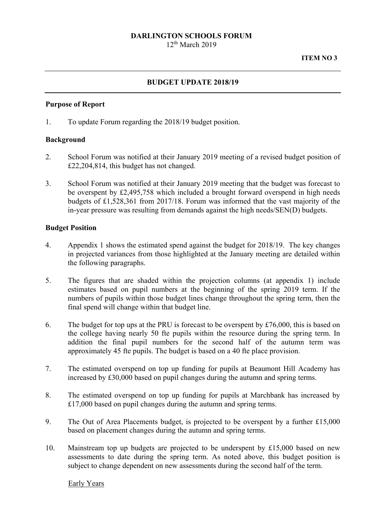# **DARLINGTON SCHOOLS FORUM**

 $12<sup>th</sup>$  March 2019

#### **BUDGET UPDATE 2018/19**

#### **Purpose of Report**

1. To update Forum regarding the 2018/19 budget position.

#### **Background**

- 2. School Forum was notified at their January 2019 meeting of a revised budget position of £22,204,814, this budget has not changed.
- 3. School Forum was notified at their January 2019 meeting that the budget was forecast to be overspent by £2,495,758 which included a brought forward overspend in high needs budgets of £1,528,361 from 2017/18. Forum was informed that the vast majority of the in-year pressure was resulting from demands against the high needs/SEN(D) budgets.

#### **Budget Position**

- 4. Appendix 1 shows the estimated spend against the budget for 2018/19. The key changes in projected variances from those highlighted at the January meeting are detailed within the following paragraphs.
- 5. The figures that are shaded within the projection columns (at appendix 1) include estimates based on pupil numbers at the beginning of the spring 2019 term. If the numbers of pupils within those budget lines change throughout the spring term, then the final spend will change within that budget line.
- 6. The budget for top ups at the PRU is forecast to be overspent by £76,000, this is based on the college having nearly 50 fte pupils within the resource during the spring term. In addition the final pupil numbers for the second half of the autumn term was approximately 45 fte pupils. The budget is based on a 40 fte place provision.
- 7. The estimated overspend on top up funding for pupils at Beaumont Hill Academy has increased by £30,000 based on pupil changes during the autumn and spring terms.
- 8. The estimated overspend on top up funding for pupils at Marchbank has increased by £17,000 based on pupil changes during the autumn and spring terms.
- 9. The Out of Area Placements budget, is projected to be overspent by a further £15,000 based on placement changes during the autumn and spring terms.
- 10. Mainstream top up budgets are projected to be underspent by £15,000 based on new assessments to date during the spring term. As noted above, this budget position is subject to change dependent on new assessments during the second half of the term.

Early Years